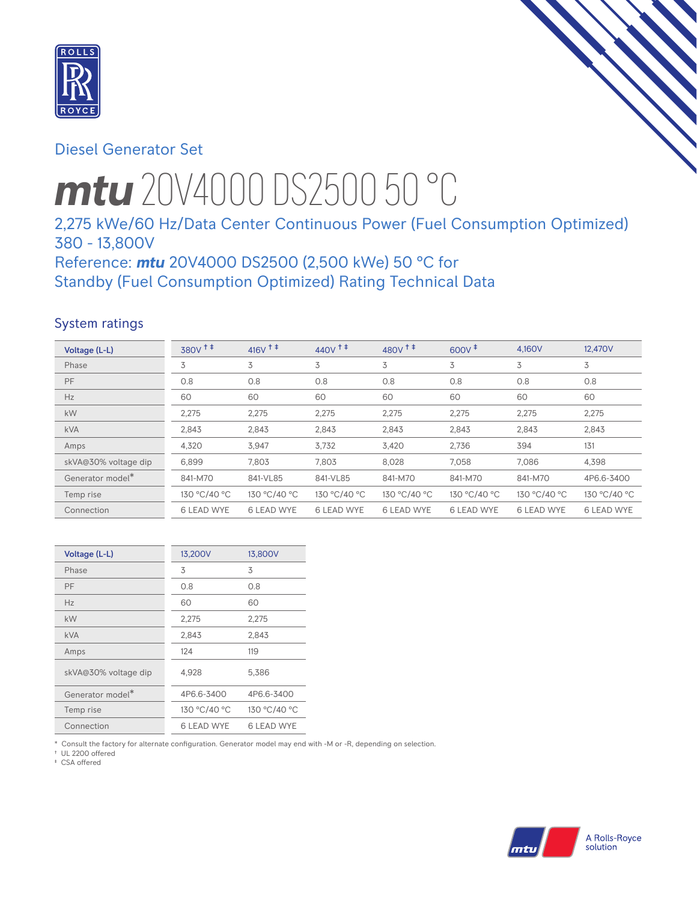

# Diesel Generator Set

# *mtu* 20V4000 DS2500 50 °C

# 2,275 kWe/60 Hz/Data Center Continuous Power (Fuel Consumption Optimized) 380 - 13,800V

Reference: *mtu* 20V4000 DS2500 (2,500 kWe) 50 °C for Standby (Fuel Consumption Optimized) Rating Technical Data

## System ratings

| Voltage (L-L)        | 380V <sup>+</sup> | $416V$ <sup>++</sup> | $440V$ <sup>++</sup> | $480V$ <sup>++</sup> | $600V^{\ddagger}$ | 4,160V            | 12,470V           |
|----------------------|-------------------|----------------------|----------------------|----------------------|-------------------|-------------------|-------------------|
| Phase                | 3                 | 3                    | 3                    | 3                    | 3                 | 3                 | 3                 |
| PF                   | 0.8               | 0.8                  | 0.8                  | 0.8                  | 0.8               | 0.8               | 0.8               |
| Hz                   | 60                | 60                   | 60                   | 60                   | 60                | 60                | 60                |
| <b>kW</b>            | 2,275             | 2,275                | 2,275                | 2,275                | 2,275             | 2,275             | 2,275             |
| <b>kVA</b>           | 2,843             | 2,843                | 2,843                | 2,843                | 2,843             | 2,843             | 2,843             |
| Amps                 | 4,320             | 3,947                | 3,732                | 3,420                | 2,736             | 394               | 131               |
| skVA@30% voltage dip | 6,899             | 7,803                | 7,803                | 8,028                | 7.058             | 7.086             | 4,398             |
| Generator model*     | 841-M70           | 841-VL85             | 841-VL85             | 841-M70              | 841-M70           | 841-M70           | 4P6.6-3400        |
| Temp rise            | 130 °C/40 °C      | 130 °C/40 °C         | 130 °C/40 °C         | 130 °C/40 °C         | 130 °C/40 °C      | 130 °C/40 °C      | 130 °C/40 °C      |
| Connection           | <b>6 LEAD WYE</b> | <b>6 LEAD WYE</b>    | <b>6 LEAD WYE</b>    | <b>6 LEAD WYE</b>    | <b>6 LEAD WYE</b> | <b>6 LEAD WYE</b> | <b>6 LEAD WYE</b> |

| Voltage (L-L)                | 13,200V           | 13,800V      |
|------------------------------|-------------------|--------------|
| Phase                        | 3                 | 3            |
| PF                           | 0.8               | 0.8          |
| Hz                           | 60                | 60           |
| kW                           | 2,275             | 2,275        |
| <b>kVA</b>                   | 2,843             | 2,843        |
| Amps                         | 124               | 119          |
| skVA@30% voltage dip         | 4,928             | 5,386        |
| Generator model <sup>*</sup> | 4P6.6-3400        | 4P6.6-3400   |
| Temp rise                    | 130 °C/40 °C      | 130 °C/40 °C |
| Connection                   | <b>6 LEAD WYE</b> | 6 LEAD WYE   |

\* Consult the factory for alternate configuration. Generator model may end with -M or -R, depending on selection.

† UL 2200 offered

‡ CSA offered

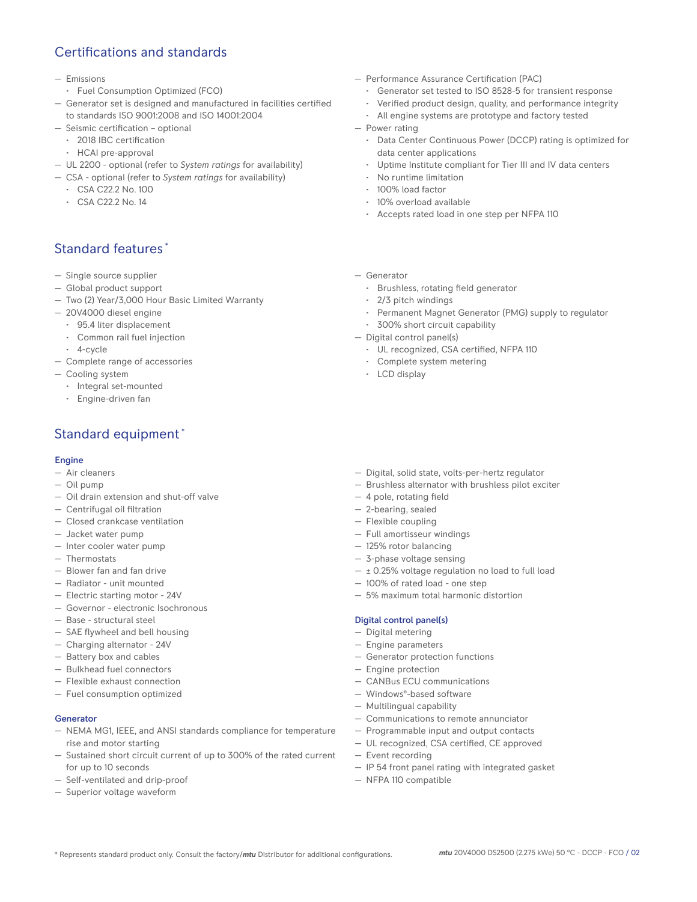# Certifications and standards

- Emissions
- Fuel Consumption Optimized (FCO)
- Generator set is designed and manufactured in facilities certified to standards ISO 9001:2008 and ISO 14001:2004
- Seismic certification optional
- 2018 IBC certification
- HCAI pre-approval
- UL 2200 optional (refer to *System ratings* for availability)
- CSA optional (refer to *System ratings* for availability)
	- CSA C22.2 No. 100
	- CSA C22.2 No. 14

# Standard features \*

- Single source supplier
- Global product support
- Two (2) Year/3,000 Hour Basic Limited Warranty
- 20V4000 diesel engine
	- 95.4 liter displacement
	- Common rail fuel injection
	- 4-cycle
- Complete range of accessories
- Cooling system
	- Integral set-mounted
	- Engine-driven fan

# Standard equipment \*

### Engine

- Air cleaners
- Oil pump
- Oil drain extension and shut-off valve
- Centrifugal oil filtration
- Closed crankcase ventilation
- Jacket water pump
- Inter cooler water pump
- Thermostats
- Blower fan and fan drive
- Radiator unit mounted
- Electric starting motor 24V
- Governor electronic Isochronous
- Base structural steel
- SAE flywheel and bell housing
- Charging alternator 24V
- Battery box and cables
- Bulkhead fuel connectors
- Flexible exhaust connection
- Fuel consumption optimized

#### Generator

- NEMA MG1, IEEE, and ANSI standards compliance for temperature rise and motor starting
- Sustained short circuit current of up to 300% of the rated current for up to 10 seconds
- Self-ventilated and drip-proof
- Superior voltage waveform
- Performance Assurance Certification (PAC)
	- Generator set tested to ISO 8528-5 for transient response
	- Verified product design, quality, and performance integrity
	- All engine systems are prototype and factory tested
- Power rating
	- Data Center Continuous Power (DCCP) rating is optimized for data center applications
	- Uptime Institute compliant for Tier III and IV data centers
	- No runtime limitation
	- 100% load factor
	- 10% overload available
	- Accepts rated load in one step per NFPA 110
- Generator
	- Brushless, rotating field generator
	- 2/3 pitch windings
	- Permanent Magnet Generator (PMG) supply to regulator
	- 300% short circuit capability
- Digital control panel(s)
	- UL recognized, CSA certified, NFPA 110
	- Complete system metering
	- LCD display
- Digital, solid state, volts-per-hertz regulator
- Brushless alternator with brushless pilot exciter
- 4 pole, rotating field
- 2-bearing, sealed
- Flexible coupling
- Full amortisseur windings
- 125% rotor balancing
- 3-phase voltage sensing
- ± 0.25% voltage regulation no load to full load
- 100% of rated load one step
- 5% maximum total harmonic distortion

#### Digital control panel(s)

- Digital metering
- Engine parameters
- Generator protection functions
- Engine protection
- CANBus ECU communications
- Windows®-based software
- Multilingual capability
- Communications to remote annunciator
- Programmable input and output contacts
- UL recognized, CSA certified, CE approved
- Event recording
- IP 54 front panel rating with integrated gasket
- NFPA 110 compatible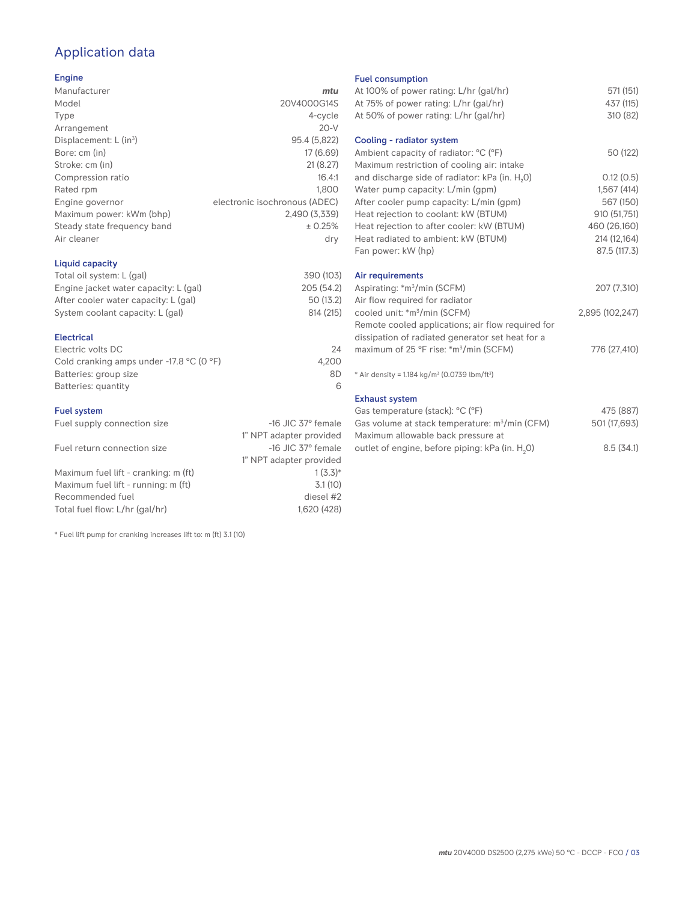# Application data

## Engine

| Manufacturer                         | mtu                           |
|--------------------------------------|-------------------------------|
| Model                                | 20V4000G14S                   |
| Type                                 | 4-cycle                       |
| Arrangement                          | $20-V$                        |
| Displacement: $L$ (in <sup>3</sup> ) | 95.4 (5,822)                  |
| Bore: cm (in)                        | 17 (6.69)                     |
| Stroke: cm (in)                      | 21(8.27)                      |
| Compression ratio                    | 16.4:1                        |
| Rated rpm                            | 1.800                         |
| Engine governor                      | electronic isochronous (ADEC) |
| Maximum power: kWm (bhp)             | 2,490 (3,339)                 |
| Steady state frequency band          | ± 0.25%                       |
| Air cleaner                          | dry                           |
|                                      |                               |

## Liquid capacity

| Total oil system: L (gal)             | 390 (103) |
|---------------------------------------|-----------|
| Engine jacket water capacity: L (gal) | 205(54.2) |
| After cooler water capacity: L (gal)  | 50 (13.2) |
| System coolant capacity: L (gal)      | 814 (215) |
|                                       |           |

## Electrical

| Electric volts DC                                            | 24    |
|--------------------------------------------------------------|-------|
| Cold cranking amps under -17.8 $^{\circ}$ C (O $^{\circ}$ F) | 4.200 |
| Batteries: group size                                        | 8D    |
| Batteries: quantity                                          |       |

## Fuel system

| Fuel supply connection size          | $-16$ JIC 37 $\degree$ female |
|--------------------------------------|-------------------------------|
|                                      | 1" NPT adapter provided       |
| Fuel return connection size          | $-16$ JIC 37 $\degree$ female |
|                                      | 1" NPT adapter provided       |
| Maximum fuel lift - cranking: m (ft) | $1(3.3)*$                     |
| Maximum fuel lift - running: m (ft)  | 3.1(10)                       |
| Recommended fuel                     | diesel #2                     |
| Total fuel flow: L/hr (gal/hr)       | 1,620 (428)                   |

\* Fuel lift pump for cranking increases lift to: m (ft) 3.1 (10)

### Fuel consumption

| At 100% of power rating: L/hr (gal/hr)                                | 571 (151)       |
|-----------------------------------------------------------------------|-----------------|
|                                                                       |                 |
| At 75% of power rating: L/hr (gal/hr)                                 | 437 (115)       |
| At 50% of power rating: L/hr (gal/hr)                                 | 310 (82)        |
| Cooling - radiator system                                             |                 |
| Ambient capacity of radiator: °C (°F)                                 | 50 (122)        |
| Maximum restriction of cooling air: intake                            |                 |
| and discharge side of radiator: kPa (in. H <sub>2</sub> O)            | 0.12(0.5)       |
| Water pump capacity: L/min (gpm)                                      | 1,567(414)      |
| After cooler pump capacity: L/min (gpm)                               | 567 (150)       |
| Heat rejection to coolant: kW (BTUM)                                  | 910 (51,751)    |
| Heat rejection to after cooler: kW (BTUM)                             | 460 (26,160)    |
| Heat radiated to ambient: kW (BTUM)                                   | 214 (12,164)    |
| Fan power: kW (hp)                                                    | 87.5 (117.3)    |
| Air requirements                                                      |                 |
| Aspirating: *m <sup>3</sup> /min (SCFM)                               | 207 (7,310)     |
| Air flow required for radiator                                        |                 |
| cooled unit: *m <sup>3</sup> /min (SCFM)                              | 2,895 (102,247) |
| Remote cooled applications; air flow required for                     |                 |
| dissipation of radiated generator set heat for a                      |                 |
| maximum of 25 °F rise: *m <sup>3</sup> /min (SCFM)                    | 776 (27,410)    |
|                                                                       |                 |
| * Air density = 1.184 kg/m <sup>3</sup> (0.0739 lbm/ft <sup>3</sup> ) |                 |
| <b>Exhaust system</b>                                                 |                 |
| Gas temperature (stack): °C (°F)                                      | 475 (887)       |
| Gas volume at stack temperature: m <sup>3</sup> /min (CFM)            | 501 (17,693)    |
|                                                                       |                 |

| Gas volume at stack temperature: m <sup>3</sup> /min (CFM)  | 501 (17,693) |
|-------------------------------------------------------------|--------------|
| Maximum allowable back pressure at                          |              |
| outlet of engine, before piping: kPa (in. H <sub>2</sub> 0) | 8.5(34.1)    |